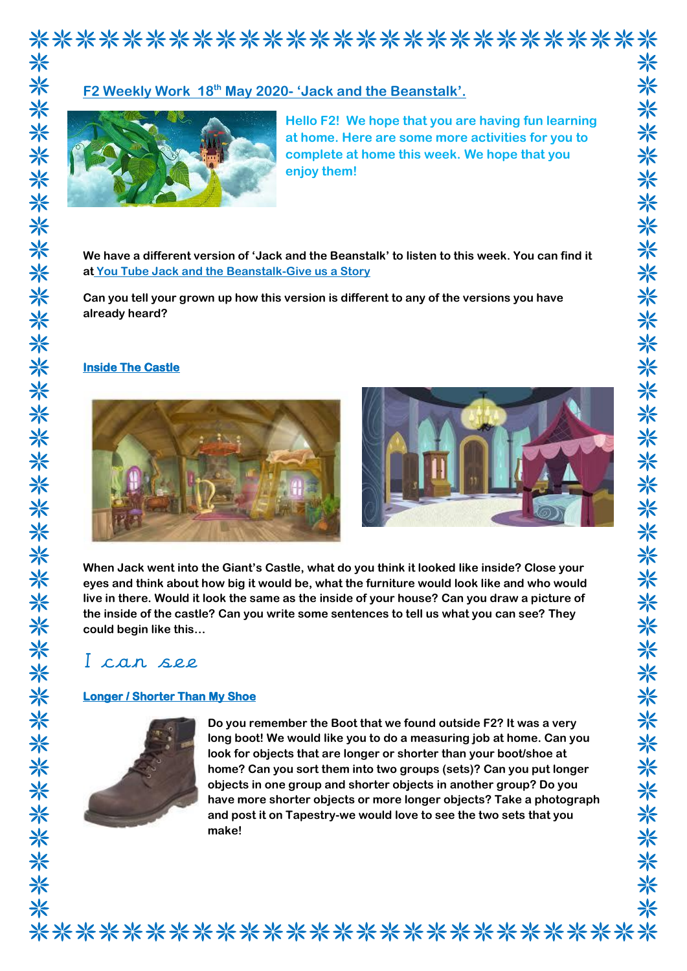# \*\*\*\*\*\*\*\*\*\*\*\*\*\*\*\*\*\*\*\*\*\*\*\*\*\*\*\*

# **F2 Weekly Work 18th May 2020- 'Jack and the Beanstalk'.**



**Hello F2! We hope that you are having fun learning at home. Here are some more activities for you to complete at home this week. We hope that you enjoy them!**

**We have a different version of 'Jack and the Beanstalk' to listen to this week. You can find it at You Tube Jack and the Beanstalk-Give us a Story**

**Can you tell your grown up how this version is different to any of the versions you have already heard?** 

### **Inside The Castle**



**When Jack went into the Giant's Castle, what do you think it looked like inside? Close your eyes and think about how big it would be, what the furniture would look like and who would live in there. Would it look the same as the inside of your house? Can you draw a picture of the inside of the castle? Can you write some sentences to tell us what you can see? They could begin like this…**

# I can see

## **Longer / Shorter Than My Shoe**



**Do you remember the Boot that we found outside F2? It was a very long boot! We would like you to do a measuring job at home. Can you look for objects that are longer or shorter than your boot/shoe at home? Can you sort them into two groups (sets)? Can you put longer objects in one group and shorter objects in another group? Do you have more shorter objects or more longer objects? Take a photograph and post it on Tapestry-we would love to see the two sets that you make!**